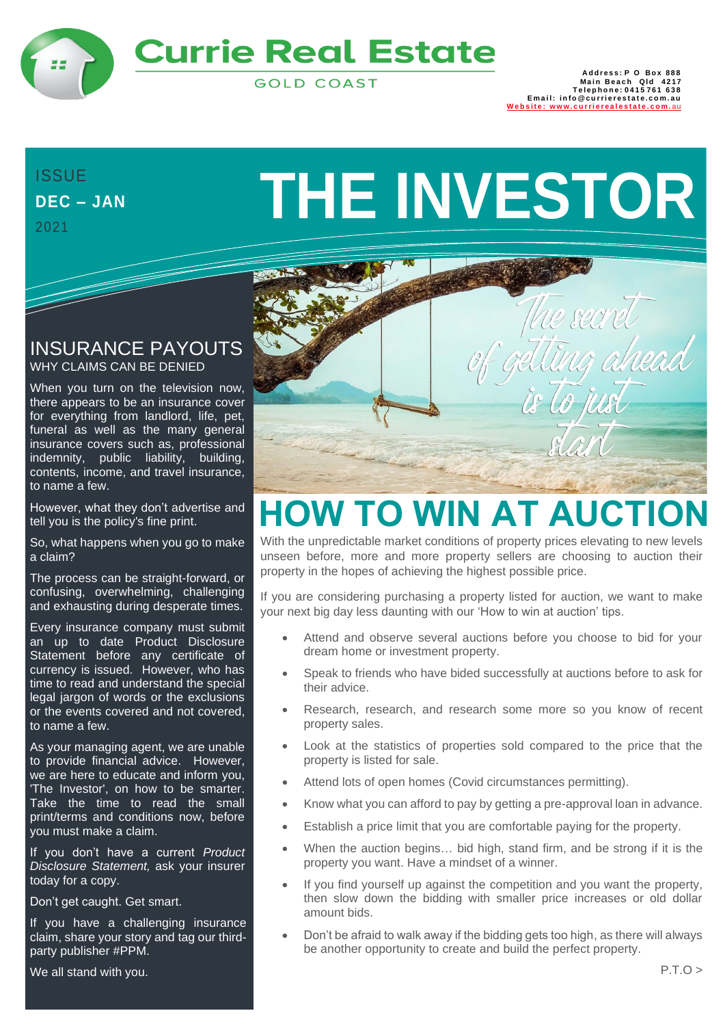

## **Currie Real Estate**

**GOLD COAST** 

888 Address: P O Box<br>1217 Main Beach Qld<br>15761 Telephone: 0415 **Em a i l: in fo @ cu rri e re s t a t e . c o m. au** Website: www.cu[rri](http://www.currierealestate.com.au/)erealestate.com.au

## **DEC – JAN** 2021

# DEC - JAN **THE INVESTOR**

#### INSURANCE PAYOUTS WHY CLAIMS CAN BE DENIED

When you turn on the television now, there appears to be an insurance cover for everything from landlord, life, pet, funeral as well as the many general insurance covers such as, professional indemnity, public liability, building, contents, income, and travel insurance, to name a few.

However, what they don't advertise and tell you is the policy's fine print.

So, what happens when you go to make a claim?

The process can be straight-forward, or confusing, overwhelming, challenging and exhausting during desperate times.

Every insurance company must submit an up to date Product Disclosure Statement before any certificate of currency is issued. However, who has time to read and understand the special legal jargon of words or the exclusions or the events covered and not covered, to name a few.

As your managing agent, we are unable to provide financial advice. However, we are here to educate and inform you, 'The Investor', on how to be smarter. Take the time to read the small print/terms and conditions now, before you must make a claim.

If you don't have a current *Product Disclosure Statement,* ask your insurer today for a copy.

Don't get caught. Get smart.

If you have a challenging insurance claim, share your story and tag our thirdparty publisher #PPM.

We all stand with you.



# **HOW TO WIN AT AUCTION**

With the unpredictable market conditions of property prices elevating to new levels unseen before, more and more property sellers are choosing to auction their property in the hopes of achieving the highest possible price.

If you are considering purchasing a property listed for auction, we want to make your next big day less daunting with our 'How to win at auction' tips.

- Attend and observe several auctions before you choose to bid for your dream home or investment property.
- Speak to friends who have bided successfully at auctions before to ask for their advice.
- Research, research, and research some more so you know of recent property sales.
- Look at the statistics of properties sold compared to the price that the property is listed for sale.
- Attend lots of open homes (Covid circumstances permitting).
- Know what you can afford to pay by getting a pre-approval loan in advance.
- Establish a price limit that you are comfortable paying for the property.
- When the auction begins... bid high, stand firm, and be strong if it is the property you want. Have a mindset of a winner.
- If you find yourself up against the competition and you want the property, then slow down the bidding with smaller price increases or old dollar amount bids.
- Don't be afraid to walk away if the bidding gets too high, as there will always be another opportunity to create and build the perfect property.